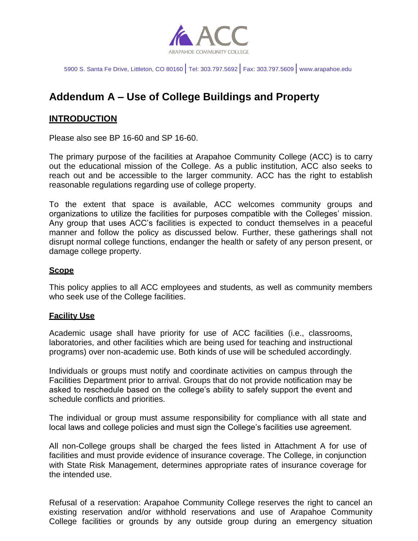

5900 S. Santa Fe Drive, Littleton, CO 80160│Tel: 303.797.5692│Fax: 303.797.5609│[www.arapahoe.edu](http://www.arapahoe.edu/)

# **Addendum A – Use of College Buildings and Property**

### **INTRODUCTION**

Please also see BP 16-60 and SP 16-60.

The primary purpose of the facilities at Arapahoe Community College (ACC) is to carry out the educational mission of the College. As a public institution, ACC also seeks to reach out and be accessible to the larger community. ACC has the right to establish reasonable regulations regarding use of college property.

To the extent that space is available, ACC welcomes community groups and organizations to utilize the facilities for purposes compatible with the Colleges' mission. Any group that uses ACC's facilities is expected to conduct themselves in a peaceful manner and follow the policy as discussed below. Further, these gatherings shall not disrupt normal college functions, endanger the health or safety of any person present, or damage college property.

#### **Scope**

This policy applies to all ACC employees and students, as well as community members who seek use of the College facilities.

#### **Facility Use**

Academic usage shall have priority for use of ACC facilities (i.e., classrooms, laboratories, and other facilities which are being used for teaching and instructional programs) over non-academic use. Both kinds of use will be scheduled accordingly.

Individuals or groups must notify and coordinate activities on campus through the Facilities Department prior to arrival. Groups that do not provide notification may be asked to reschedule based on the college's ability to safely support the event and schedule conflicts and priorities.

The individual or group must assume responsibility for compliance with all state and local laws and college policies and must sign the College's facilities use agreement.

All non-College groups shall be charged the fees listed in Attachment A for use of facilities and must provide evidence of insurance coverage. The College, in conjunction with State Risk Management, determines appropriate rates of insurance coverage for the intended use.

Refusal of a reservation: Arapahoe Community College reserves the right to cancel an existing reservation and/or withhold reservations and use of Arapahoe Community College facilities or grounds by any outside group during an emergency situation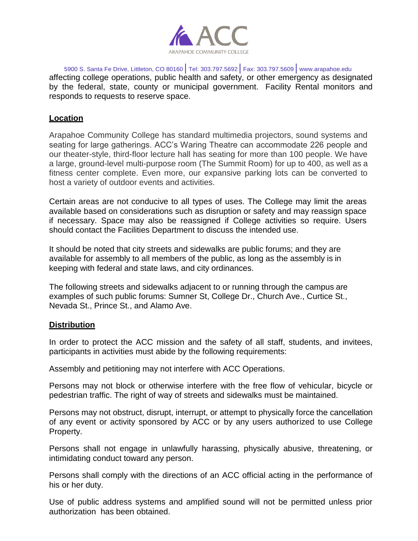

5900 S. Santa Fe Drive, Littleton, CO 80160│Tel: 303.797.5692│Fax: 303.797.5609│[www.arapahoe.edu](http://www.arapahoe.edu/) affecting college operations, public health and safety, or other emergency as designated by the federal, state, county or municipal government. Facility Rental monitors and responds to requests to reserve space.

### **Location**

Arapahoe Community College has standard multimedia projectors, sound systems and seating for large gatherings. ACC's Waring Theatre can accommodate 226 people and our theater-style, third-floor lecture hall has seating for more than 100 people. We have a large, ground-level multi-purpose room (The Summit Room) for up to 400, as well as a fitness center complete. Even more, our expansive parking lots can be converted to host a variety of outdoor events and activities.

Certain areas are not conducive to all types of uses. The College may limit the areas available based on considerations such as disruption or safety and may reassign space if necessary. Space may also be reassigned if College activities so require. Users should contact the Facilities Department to discuss the intended use.

It should be noted that city streets and sidewalks are public forums; and they are available for assembly to all members of the public, as long as the assembly is in keeping with federal and state laws, and city ordinances.

The following streets and sidewalks adjacent to or running through the campus are examples of such public forums: Sumner St, College Dr., Church Ave., Curtice St., Nevada St., Prince St., and Alamo Ave.

#### **Distribution**

In order to protect the ACC mission and the safety of all staff, students, and invitees, participants in activities must abide by the following requirements:

Assembly and petitioning may not interfere with ACC Operations.

Persons may not block or otherwise interfere with the free flow of vehicular, bicycle or pedestrian traffic. The right of way of streets and sidewalks must be maintained.

Persons may not obstruct, disrupt, interrupt, or attempt to physically force the cancellation of any event or activity sponsored by ACC or by any users authorized to use College Property.

Persons shall not engage in unlawfully harassing, physically abusive, threatening, or intimidating conduct toward any person.

Persons shall comply with the directions of an ACC official acting in the performance of his or her duty.

Use of public address systems and amplified sound will not be permitted unless prior authorization has been obtained.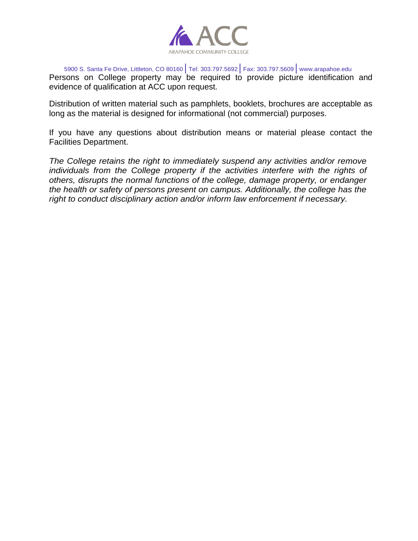

5900 S. Santa Fe Drive, Littleton, CO 80160│Tel: 303.797.5692│Fax: 303.797.5609│[www.arapahoe.edu](http://www.arapahoe.edu/) Persons on College property may be required to provide picture identification and evidence of qualification at ACC upon request.

Distribution of written material such as pamphlets, booklets, brochures are acceptable as long as the material is designed for informational (not commercial) purposes.

If you have any questions about distribution means or material please contact the Facilities Department.

*The College retains the right to immediately suspend any activities and/or remove*  individuals from the College property if the activities interfere with the rights of *others, disrupts the normal functions of the college, damage property, or endanger the health or safety of persons present on campus. Additionally, the college has the right to conduct disciplinary action and/or inform law enforcement if necessary.*